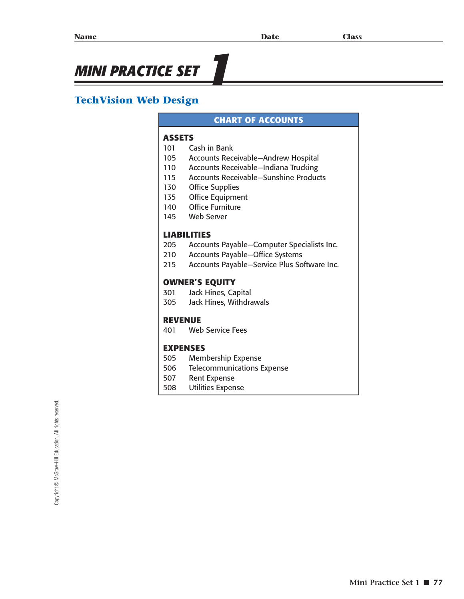# **MINI PRACTICE SET**

## **TechVision Web Design**

#### **CHART OF ACCOUNTS**

#### **ASSETS**

- 101 Cash in Bank
- 105 Accounts Receivable—Andrew Hospital
- 110 Accounts Receivable—Indiana Trucking
- 115 Accounts Receivable—Sunshine Products
- 130 Office Supplies
- 135 Office Equipment
- 140 Office Furniture
- 145 Web Server

#### **LIABILITIES**

- 205 Accounts Payable—Computer Specialists Inc.
- 210 Accounts Payable—Office Systems
- 215 Accounts Payable—Service Plus Software Inc.

#### **OWNER'S EQUITY**

- 301 Jack Hines, Capital
- 305 Jack Hines, Withdrawals

#### **REVENUE**

401 Web Service Fees

#### **EXPENSES**

- 505 Membership Expense
- 506 Telecommunications Expense
- 507 Rent Expense
- 508 Utilities Expense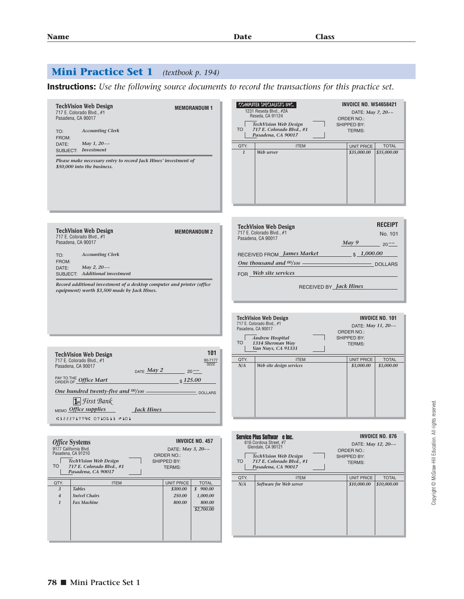## **Mini Practice Set 1** *(textbook p. 194)*

**Instructions:** *Use the following source documents to record the transactions for this practice set.*

| <b>TechVision Web Design</b><br><b>MEMORANDUM 1</b><br>717 E. Colorado Blvd., #1<br>Pasadena, CA 90017<br><b>Accounting Clerk</b><br>TO:<br>FROM:<br>May 1, 20--<br>DATE:<br>SUBJECT: Investment<br>Please make necessary entry to record Jack Hines' investment of<br>\$50,000 into the business.                                        | <b>INVOICE NO. WS4658421</b><br>COMPUTER SPECIALISTS INC.<br>1231 Reseda Blvd., #2A<br>DATE: May 7, 20--<br>Reseda, CA 91124<br>ORDER NO.:<br><b>TechVision Web Design</b><br>SHIPPED BY:<br><b>TO</b><br>717 E. Colorado Blvd., #1<br>TERMS:<br>Pasadena, CA 90017<br><b>UNIT PRICE</b><br>QTY.<br><b>ITEM</b><br><b>TOTAL</b><br>\$35,000.00<br>\$35,000.00<br>$\mathbf{1}$<br>Web server |
|-------------------------------------------------------------------------------------------------------------------------------------------------------------------------------------------------------------------------------------------------------------------------------------------------------------------------------------------|---------------------------------------------------------------------------------------------------------------------------------------------------------------------------------------------------------------------------------------------------------------------------------------------------------------------------------------------------------------------------------------------|
| <b>TechVision Web Design</b><br><b>MEMORANDUM 2</b><br>717 E. Colorado Blvd., #1<br>Pasadena, CA 90017<br><b>Accounting Clerk</b><br>TO:<br>FROM:<br>DATE:<br>May 2, $20 - -$<br>SUBJECT: Additional investment<br>Record additional investment of a desktop computer and printer (office<br>equipment) worth \$3,500 made by Jack Hines. | <b>RECEIPT</b><br><b>TechVision Web Design</b><br>717 E. Colorado Blvd., #1<br>No. 101<br>Pasadena, CA 90017<br>May 9<br>$-20^{--}$<br>RECEIVED FROM James Market \$1,000.00<br>One thousand and $00/100$ $\qquad$ DOLLARS<br>FOR Web site services<br>RECEIVED BY <i>Jack Hines</i><br><b>INVOICE NO. 101</b><br>TechVision Web Design                                                     |
| 101<br><b>TechVision Web Design</b><br>717 E. Colorado Blvd., #1<br>90-7177<br>3222<br>Pasadena, CA 90017<br>DATE $May 2$ 20-<br>PAY TO THE Office Mart<br>\$125.00<br>One hundred twenty-five and $00/100$ – $\qquad$ DOLLARS                                                                                                            | 717 E. Colorado Blvd., #1<br>DATE: May 11, 20--<br>Pasadena, CA 90017<br>ORDER NO.:<br>Andrew Hospital<br>SHIPPED BY:<br><b>TO</b><br>1314 Sherman Way<br>TERMS:<br>Van Nuys, CA 91331<br><b>ITEM</b><br><b>UNIT PRICE</b><br><b>TOTAL</b><br>QTY.<br>Web site design services<br>\$3,000.00<br>N/A<br>\$3,000.00                                                                           |
| 1st First Bank<br>$_{\text{MEMO}}$ Office supplies<br>Jack Hines<br><b>C322271779C 0710613 #101</b><br><b>INVOICE NO. 457</b><br><b>Office Systems</b><br>9177 California Blvd.<br>DATE: May 3, 20--<br>Pasadena, CA 91210<br>ORDER NO.:<br><b>TechVision Web Design</b><br>SHIPPED BY:                                                   | <b>INVOICE NO. 876</b><br>Service Plus Softwar e Inc.<br>616 Cordova Street, #7<br>DATE: May 12, 20--<br>Glendale, CA 90121<br>ORDER NO.:<br><b>TechVision Web Design</b><br>SHIPPED BY:<br><b>TO</b><br>717 E. Colorado Blvd., #1<br>TERMS:                                                                                                                                                |
| <b>TO</b><br>717 E. Colorado Blvd., #1<br><b>TERMS:</b><br>Pasadena, CA 90017<br><b>ITEM</b><br>UNIT PRICE<br><b>TOTAL</b><br>QTY.<br>\$900.00<br>3<br><b>Tables</b><br>\$300.00<br><b>Swivel Chairs</b><br>250.00<br>1,000.00<br>$\overline{4}$<br>$\boldsymbol{1}$<br><b>Fax Machine</b><br>800.00<br>800.00<br>\$2,700.00              | Pasadena, CA 90017<br>UNIT PRICE<br><b>TOTAL</b><br>QTY.<br><b>ITEM</b><br>N/A<br>Software for Web server<br>\$10,000.00<br>\$10,000.00                                                                                                                                                                                                                                                     |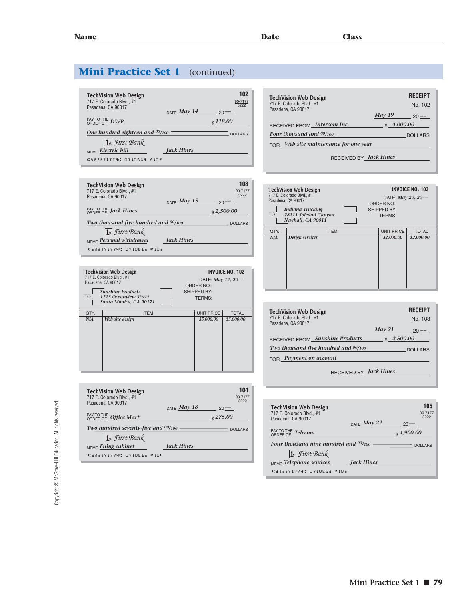**RECEIPT**

## **Mini Practice Set 1** (continued)

| <b>TechVision Web Design</b><br>717 E. Colorado Blvd., #1<br>Pasadena, CA 90017          | $_{\text{DATE}}$ May 14 | 102<br>90-7177<br>3222<br>$20 - -$ |
|------------------------------------------------------------------------------------------|-------------------------|------------------------------------|
| PAY TO THE DWP<br>One hundred eighteen and $00/100$                                      |                         | $\sqrt{118.00}$<br><b>DOLLARS</b>  |
| $\overline{\mathbf{1}}$ st First Bank<br>MEMO Electric bill<br>.:322271779. 8718613 №182 | <b>Jack Hines</b>       |                                    |

| <b>TechVision Web Design</b><br>717 E. Colorado Blvd., #1<br>Pasadena, CA 90017 |                         | 103<br>90-7177<br>3222 |
|---------------------------------------------------------------------------------|-------------------------|------------------------|
|                                                                                 | $_{\text{DATE}}$ May 15 | $20^{--}$              |
| PAY TO THE Jack Hines                                                           |                         | \$2,500.00             |
| <b>Two thousand five hundred and <math>\frac{00}{100}</math> __________</b>     |                         | - DOLLARS              |
| <b>1st</b> First Bank                                                           |                         |                        |
| MEMO Personal withdrawal                                                        | <b>Jack Hines</b>       |                        |
| <b>C322271779C 0710613 #103</b>                                                 |                         |                        |

| <b>TO</b> | <b>TechVision Web Design</b><br>717 E. Colorado Blvd., #1<br>Pasadena, CA 90017<br><b>Sunshine Products</b><br>1213 Oceanview Street<br>Santa Monica, CA 90171 |  | DATE: May 17, 20--<br>ORDER NO.:<br>SHIPPED BY:<br><b>TERMS:</b> | INVOICE NO. 102 |
|-----------|----------------------------------------------------------------------------------------------------------------------------------------------------------------|--|------------------------------------------------------------------|-----------------|
| QTY.      | <b>ITEM</b>                                                                                                                                                    |  | <b>UNIT PRICE</b>                                                | <b>TOTAL</b>    |
| N/A       | Web site design                                                                                                                                                |  | \$5,000.00                                                       | \$5,000.00      |

| <b>TechVision Web Design</b><br>717 E. Colorado Blvd., #1<br>Pasadena, CA 90017 |                         |           | 104<br>90-7177<br>3222 |
|---------------------------------------------------------------------------------|-------------------------|-----------|------------------------|
|                                                                                 | $_{\text{DATE}}$ May 18 | $20^{--}$ |                        |
| PAY TO THE <b>Office Mart</b>                                                   |                         | \$275.00  |                        |
| Two hundred seventy-five and $00/100$ -                                         |                         |           | DOLLARS                |
| $\left  \mathbf{I} \right $ First Bank                                          |                         |           |                        |
| MEMO Filing cabinet                                                             | Jack Hines              |           |                        |
| .:322271779. 8718613 №184                                                       |                         |           |                        |

| <b>TechVision Web Design</b>                                                                                                                                         | NEVEIFI                                                                                           |
|----------------------------------------------------------------------------------------------------------------------------------------------------------------------|---------------------------------------------------------------------------------------------------|
| 717 E. Colorado Blvd., #1                                                                                                                                            | No 102                                                                                            |
| Pasadena, CA 90017                                                                                                                                                   | May 19<br>$20 -$                                                                                  |
| RECEIVED FROM Intercom Inc.                                                                                                                                          | \$4,000.00                                                                                        |
| Four thousand and $00/100$ -                                                                                                                                         | $\overline{\phantom{a}}$ DOLLARS                                                                  |
| $FOR$ Web site maintenance for one year                                                                                                                              |                                                                                                   |
| RECEIVED BY Jack Hines                                                                                                                                               |                                                                                                   |
|                                                                                                                                                                      |                                                                                                   |
| <b>TechVision Web Design</b><br>717 E. Colorado Blvd., #1<br>Pasadena, CA 90017<br><b>Indiana Trucking</b><br><b>TO</b><br>28111 Soledad Canyon<br>Newhall, CA 90011 | <b>INVOICE NO. 103</b><br>DATE: May 20, 20--<br><b>ORDER NO.:</b><br>SHIPPED BY:<br><b>TERMS:</b> |
| QTY.<br><b>ITEM</b>                                                                                                                                                  | <b>UNIT PRICE</b><br><b>TOTAL</b>                                                                 |
| N/A<br>Design services                                                                                                                                               | \$2,000.00<br>\$2,000.00                                                                          |
|                                                                                                                                                                      |                                                                                                   |

| <b>TechVision Web Design</b>                      |            | <b>RECEIPT</b> |
|---------------------------------------------------|------------|----------------|
| 717 E. Colorado Blvd., #1<br>Pasadena, CA 90017   |            | No. 103        |
|                                                   | May 21     |                |
| <b>Sunshine Products</b><br><b>RECEIVED FROM.</b> | \$2,500.00 |                |
| Two thousand five hundred and $00/100$ .          |            | DOLLARS        |
| Payment on account                                |            |                |
|                                                   |            |                |

RECEIVED BY *Jack Hines*

| <b>TechVision Web Design</b><br>717 E. Colorado Blvd., #1<br>Pasadena, CA 90017 | 105<br>90-7177<br>3222<br>$_{\text{DATE}}$ May 22<br>$20^{--}$ |
|---------------------------------------------------------------------------------|----------------------------------------------------------------|
| PAY TO THE Telecom                                                              | $\frac{1}{2}$ 4,900.00                                         |
| Four thousand nine hundred and $00/100$                                         | DOLLARS                                                        |
| 1st First Bank                                                                  |                                                                |
| MEMO Telephone services                                                         | Jack Hines                                                     |
| .:322271779. 8718613 ™185                                                       |                                                                |